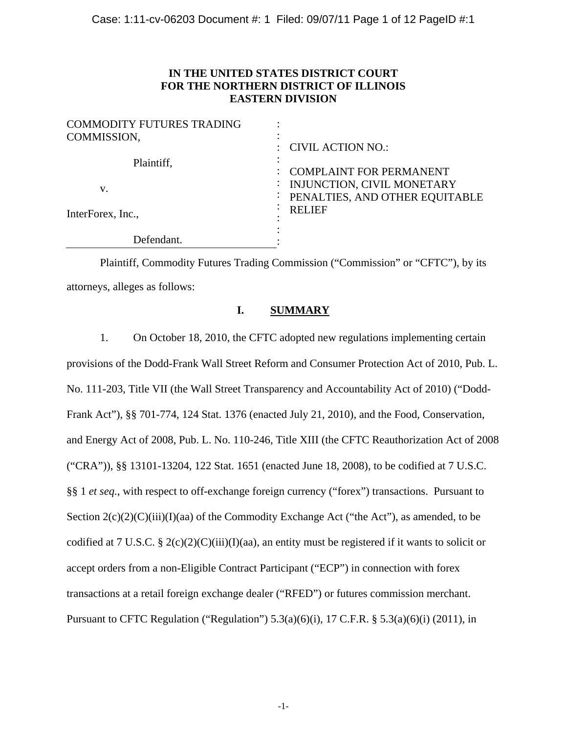## **IN THE UNITED STATES DISTRICT COURT FOR THE NORTHERN DISTRICT OF ILLINOIS EASTERN DIVISION**

| <b>COMMODITY FUTURES TRADING</b><br>COMMISSION, |                                                                                                                 |
|-------------------------------------------------|-----------------------------------------------------------------------------------------------------------------|
|                                                 | <b>CIVIL ACTION NO.:</b>                                                                                        |
| Plaintiff,<br>V.<br>InterForex, Inc.,           | <b>COMPLAINT FOR PERMANENT</b><br>INJUNCTION, CIVIL MONETARY<br>PENALTIES, AND OTHER EQUITABLE<br><b>RELIEF</b> |
| Defendant.                                      |                                                                                                                 |

Plaintiff, Commodity Futures Trading Commission ("Commission" or "CFTC"), by its attorneys, alleges as follows:

## **I. SUMMARY**

1. On October 18, 2010, the CFTC adopted new regulations implementing certain provisions of the Dodd-Frank Wall Street Reform and Consumer Protection Act of 2010, Pub. L. No. 111-203, Title VII (the Wall Street Transparency and Accountability Act of 2010) ("Dodd-Frank Act"), §§ 701-774, 124 Stat. 1376 (enacted July 21, 2010), and the Food, Conservation, and Energy Act of 2008, Pub. L. No. 110-246, Title XIII (the CFTC Reauthorization Act of 2008 ("CRA")), §§ 13101-13204, 122 Stat. 1651 (enacted June 18, 2008), to be codified at 7 U.S.C. §§ 1 *et seq.*, with respect to off-exchange foreign currency ("forex") transactions. Pursuant to Section  $2(c)(2)(C)(iii)(I)(aa)$  of the Commodity Exchange Act ("the Act"), as amended, to be codified at 7 U.S.C. § 2(c)(2)(C)(iii)(I)(aa), an entity must be registered if it wants to solicit or accept orders from a non-Eligible Contract Participant ("ECP") in connection with forex transactions at a retail foreign exchange dealer ("RFED") or futures commission merchant. Pursuant to CFTC Regulation ("Regulation")  $5.3(a)(6)(i)$ ,  $17$  C.F.R. §  $5.3(a)(6)(i)$  (2011), in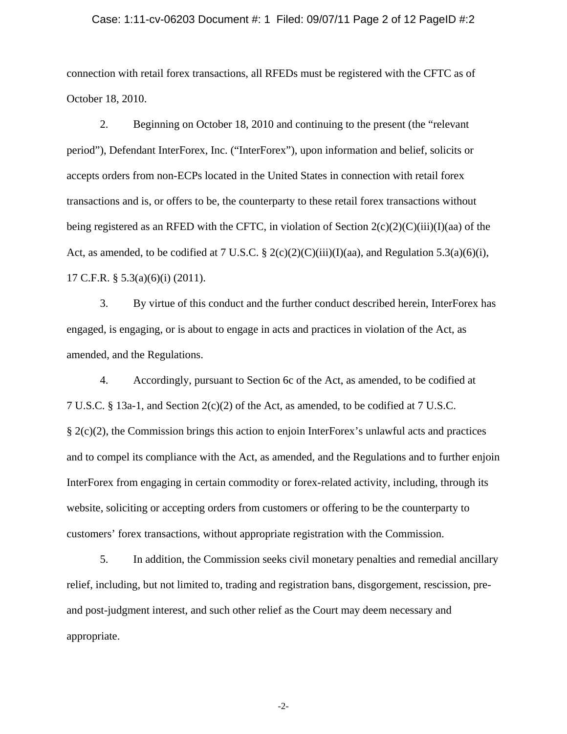#### Case: 1:11-cv-06203 Document #: 1 Filed: 09/07/11 Page 2 of 12 PageID #:2

connection with retail forex transactions, all RFEDs must be registered with the CFTC as of October 18, 2010.

2. Beginning on October 18, 2010 and continuing to the present (the "relevant period"), Defendant InterForex, Inc. ("InterForex"), upon information and belief, solicits or accepts orders from non-ECPs located in the United States in connection with retail forex transactions and is, or offers to be, the counterparty to these retail forex transactions without being registered as an RFED with the CFTC, in violation of Section  $2(c)(2)(C)(iii)(I)(aa)$  of the Act, as amended, to be codified at 7 U.S.C. § 2(c)(2)(C)(iii)(I)(aa), and Regulation 5.3(a)(6)(i), 17 C.F.R. § 5.3(a)(6)(i) (2011).

3. By virtue of this conduct and the further conduct described herein, InterForex has engaged, is engaging, or is about to engage in acts and practices in violation of the Act, as amended, and the Regulations.

4. Accordingly, pursuant to Section 6c of the Act, as amended, to be codified at 7 U.S.C. § 13a-1, and Section 2(c)(2) of the Act, as amended, to be codified at 7 U.S.C. § 2(c)(2), the Commission brings this action to enjoin InterForex's unlawful acts and practices and to compel its compliance with the Act, as amended, and the Regulations and to further enjoin InterForex from engaging in certain commodity or forex-related activity, including, through its website, soliciting or accepting orders from customers or offering to be the counterparty to customers' forex transactions, without appropriate registration with the Commission.

5. In addition, the Commission seeks civil monetary penalties and remedial ancillary relief, including, but not limited to, trading and registration bans, disgorgement, rescission, preand post-judgment interest, and such other relief as the Court may deem necessary and appropriate.

-2-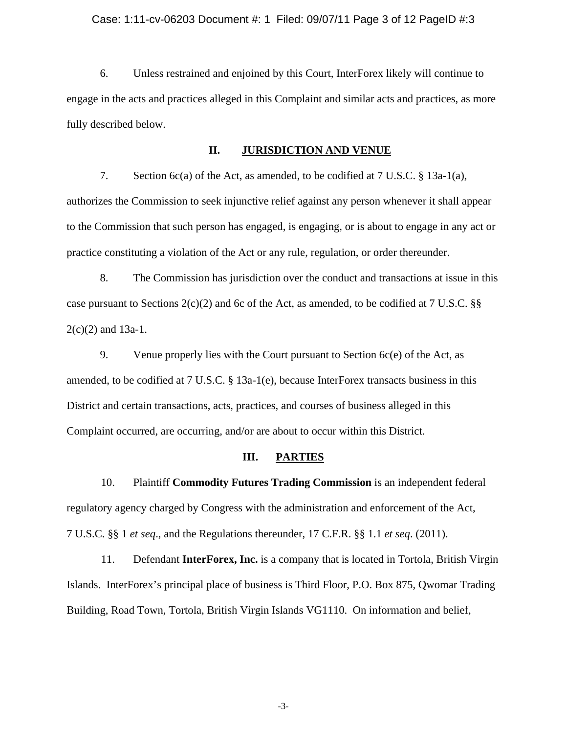#### Case: 1:11-cv-06203 Document #: 1 Filed: 09/07/11 Page 3 of 12 PageID #:3

6. Unless restrained and enjoined by this Court, InterForex likely will continue to engage in the acts and practices alleged in this Complaint and similar acts and practices, as more fully described below.

#### **II. JURISDICTION AND VENUE**

7. Section 6c(a) of the Act, as amended, to be codified at 7 U.S.C. § 13a-1(a), authorizes the Commission to seek injunctive relief against any person whenever it shall appear to the Commission that such person has engaged, is engaging, or is about to engage in any act or practice constituting a violation of the Act or any rule, regulation, or order thereunder.

8. The Commission has jurisdiction over the conduct and transactions at issue in this case pursuant to Sections  $2(c)(2)$  and 6c of the Act, as amended, to be codified at 7 U.S.C. §§  $2(c)(2)$  and 13a-1.

9. Venue properly lies with the Court pursuant to Section 6c(e) of the Act, as amended, to be codified at 7 U.S.C. § 13a-1(e), because InterForex transacts business in this District and certain transactions, acts, practices, and courses of business alleged in this Complaint occurred, are occurring, and/or are about to occur within this District.

#### **III. PARTIES**

10. Plaintiff **Commodity Futures Trading Commission** is an independent federal regulatory agency charged by Congress with the administration and enforcement of the Act, 7 U.S.C. §§ 1 *et seq*., and the Regulations thereunder, 17 C.F.R. §§ 1.1 *et seq*. (2011).

11. Defendant **InterForex, Inc.** is a company that is located in Tortola, British Virgin Islands. InterForex's principal place of business is Third Floor, P.O. Box 875, Qwomar Trading Building, Road Town, Tortola, British Virgin Islands VG1110. On information and belief,

-3-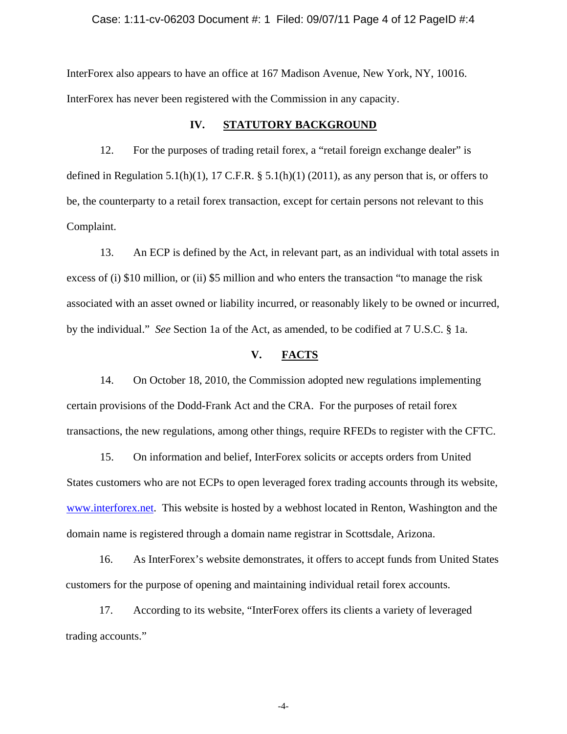#### Case: 1:11-cv-06203 Document #: 1 Filed: 09/07/11 Page 4 of 12 PageID #:4

InterForex also appears to have an office at 167 Madison Avenue, New York, NY, 10016. InterForex has never been registered with the Commission in any capacity.

#### **IV. STATUTORY BACKGROUND**

12. For the purposes of trading retail forex, a "retail foreign exchange dealer" is defined in Regulation 5.1(h)(1), 17 C.F.R.  $\S$  5.1(h)(1) (2011), as any person that is, or offers to be, the counterparty to a retail forex transaction, except for certain persons not relevant to this Complaint.

13. An ECP is defined by the Act, in relevant part, as an individual with total assets in excess of (i) \$10 million, or (ii) \$5 million and who enters the transaction "to manage the risk associated with an asset owned or liability incurred, or reasonably likely to be owned or incurred, by the individual." *See* Section 1a of the Act, as amended, to be codified at 7 U.S.C. § 1a.

#### **V. FACTS**

14. On October 18, 2010, the Commission adopted new regulations implementing certain provisions of the Dodd-Frank Act and the CRA. For the purposes of retail forex transactions, the new regulations, among other things, require RFEDs to register with the CFTC.

15. On information and belief, InterForex solicits or accepts orders from United States customers who are not ECPs to open leveraged forex trading accounts through its website, www.interforex.net. This website is hosted by a webhost located in Renton, Washington and the domain name is registered through a domain name registrar in Scottsdale, Arizona.

16. As InterForex's website demonstrates, it offers to accept funds from United States customers for the purpose of opening and maintaining individual retail forex accounts.

17. According to its website, "InterForex offers its clients a variety of leveraged trading accounts."

-4-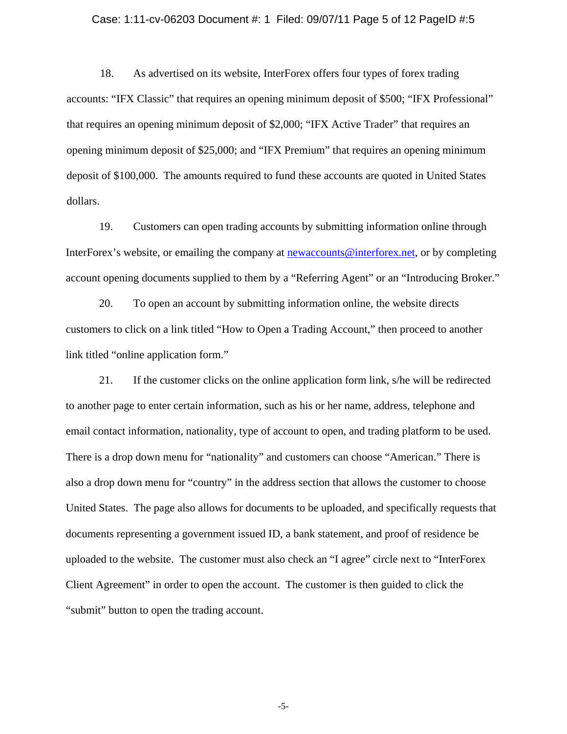#### Case: 1:11-cv-06203 Document #: 1 Filed: 09/07/11 Page 5 of 12 PageID #:5

18. As advertised on its website, InterForex offers four types of forex trading accounts: "IFX Classic" that requires an opening minimum deposit of \$500; "IFX Professional" that requires an opening minimum deposit of \$2,000; "IFX Active Trader" that requires an opening minimum deposit of \$25,000; and "IFX Premium" that requires an opening minimum deposit of \$100,000. The amounts required to fund these accounts are quoted in United States dollars.

19. Customers can open trading accounts by submitting information online through InterForex's website, or emailing the company at newaccounts@interforex.net, or by completing account opening documents supplied to them by a "Referring Agent" or an "Introducing Broker."

20. To open an account by submitting information online, the website directs customers to click on a link titled "How to Open a Trading Account," then proceed to another link titled "online application form."

21. If the customer clicks on the online application form link, s/he will be redirected to another page to enter certain information, such as his or her name, address, telephone and email contact information, nationality, type of account to open, and trading platform to be used. There is a drop down menu for "nationality" and customers can choose "American." There is also a drop down menu for "country" in the address section that allows the customer to choose United States. The page also allows for documents to be uploaded, and specifically requests that documents representing a government issued ID, a bank statement, and proof of residence be uploaded to the website. The customer must also check an "I agree" circle next to "InterForex Client Agreement" in order to open the account. The customer is then guided to click the "submit" button to open the trading account.

-5-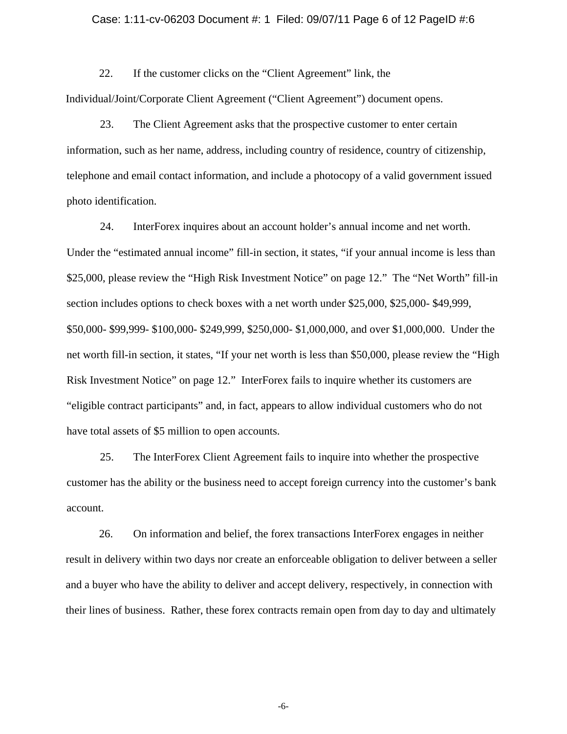#### Case: 1:11-cv-06203 Document #: 1 Filed: 09/07/11 Page 6 of 12 PageID #:6

22. If the customer clicks on the "Client Agreement" link, the

Individual/Joint/Corporate Client Agreement ("Client Agreement") document opens.

23. The Client Agreement asks that the prospective customer to enter certain information, such as her name, address, including country of residence, country of citizenship, telephone and email contact information, and include a photocopy of a valid government issued photo identification.

24. InterForex inquires about an account holder's annual income and net worth. Under the "estimated annual income" fill-in section, it states, "if your annual income is less than \$25,000, please review the "High Risk Investment Notice" on page 12." The "Net Worth" fill-in section includes options to check boxes with a net worth under \$25,000, \$25,000- \$49,999, \$50,000- \$99,999- \$100,000- \$249,999, \$250,000- \$1,000,000, and over \$1,000,000. Under the net worth fill-in section, it states, "If your net worth is less than \$50,000, please review the "High Risk Investment Notice" on page 12." InterForex fails to inquire whether its customers are "eligible contract participants" and, in fact, appears to allow individual customers who do not have total assets of \$5 million to open accounts.

25. The InterForex Client Agreement fails to inquire into whether the prospective customer has the ability or the business need to accept foreign currency into the customer's bank account.

26. On information and belief, the forex transactions InterForex engages in neither result in delivery within two days nor create an enforceable obligation to deliver between a seller and a buyer who have the ability to deliver and accept delivery, respectively, in connection with their lines of business. Rather, these forex contracts remain open from day to day and ultimately

-6-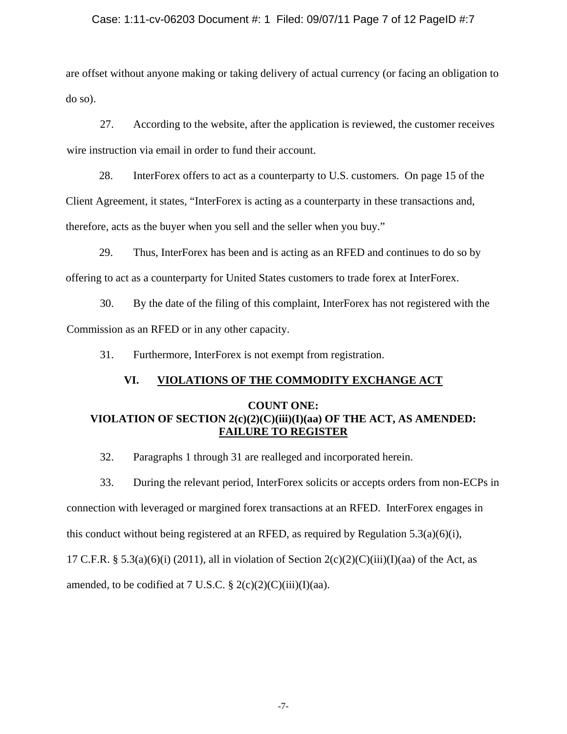### Case: 1:11-cv-06203 Document #: 1 Filed: 09/07/11 Page 7 of 12 PageID #:7

are offset without anyone making or taking delivery of actual currency (or facing an obligation to do so).

27. According to the website, after the application is reviewed, the customer receives wire instruction via email in order to fund their account.

28. InterForex offers to act as a counterparty to U.S. customers. On page 15 of the Client Agreement, it states, "InterForex is acting as a counterparty in these transactions and, therefore, acts as the buyer when you sell and the seller when you buy."

29. Thus, InterForex has been and is acting as an RFED and continues to do so by offering to act as a counterparty for United States customers to trade forex at InterForex.

30. By the date of the filing of this complaint, InterForex has not registered with the Commission as an RFED or in any other capacity.

31. Furthermore, InterForex is not exempt from registration.

## **VI. VIOLATIONS OF THE COMMODITY EXCHANGE ACT**

## **COUNT ONE: VIOLATION OF SECTION 2(c)(2)(C)(iii)(I)(aa) OF THE ACT, AS AMENDED: FAILURE TO REGISTER**

32. Paragraphs 1 through 31 are realleged and incorporated herein.

amended, to be codified at 7 U.S.C.  $\S 2(c)(2)(C(iii))(I)(aa)$ .

33. During the relevant period, InterForex solicits or accepts orders from non-ECPs in connection with leveraged or margined forex transactions at an RFED. InterForex engages in this conduct without being registered at an RFED, as required by Regulation  $5.3(a)(6)(i)$ , 17 C.F.R. § 5.3(a)(6)(i) (2011), all in violation of Section  $2(c)(2)(C)(iii)(I)(aa)$  of the Act, as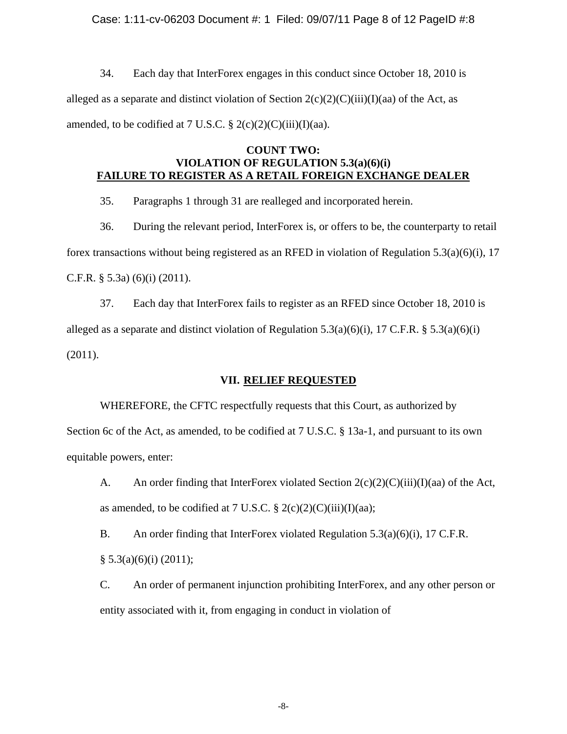### Case: 1:11-cv-06203 Document #: 1 Filed: 09/07/11 Page 8 of 12 PageID #:8

34. Each day that InterForex engages in this conduct since October 18, 2010 is alleged as a separate and distinct violation of Section  $2(c)(2)(C(iii)(I)(aa)$  of the Act, as amended, to be codified at 7 U.S.C.  $\S 2(c)(2)(C)(iii)(I)(aa)$ .

### **COUNT TWO: VIOLATION OF REGULATION 5.3(a)(6)(i) FAILURE TO REGISTER AS A RETAIL FOREIGN EXCHANGE DEALER**

35. Paragraphs 1 through 31 are realleged and incorporated herein.

36. During the relevant period, InterForex is, or offers to be, the counterparty to retail forex transactions without being registered as an RFED in violation of Regulation 5.3(a)(6)(i), 17 C.F.R.  $\S$  5.3a) (6)(i) (2011).

37. Each day that InterForex fails to register as an RFED since October 18, 2010 is alleged as a separate and distinct violation of Regulation 5.3(a)(6)(i), 17 C.F.R. § 5.3(a)(6)(i) (2011).

### **VII. RELIEF REQUESTED**

WHEREFORE, the CFTC respectfully requests that this Court, as authorized by Section 6c of the Act, as amended, to be codified at 7 U.S.C. § 13a-1, and pursuant to its own equitable powers, enter:

A. An order finding that InterForex violated Section  $2(c)(2)(C)(iii)(I)(aa)$  of the Act, as amended, to be codified at 7 U.S.C.  $\S 2(c)(2)(C(iii))(I)(aa);$ 

B. An order finding that InterForex violated Regulation 5.3(a)(6)(i), 17 C.F.R.  $§ 5.3(a)(6)(i) (2011);$ 

C. An order of permanent injunction prohibiting InterForex, and any other person or entity associated with it, from engaging in conduct in violation of

-8-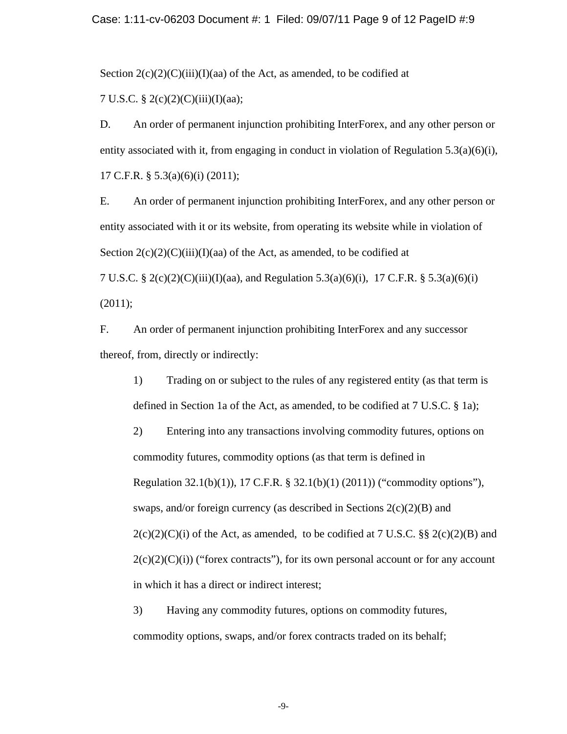#### Case: 1:11-cv-06203 Document #: 1 Filed: 09/07/11 Page 9 of 12 PageID #:9

Section  $2(c)(2)(C)(iii)(I)(aa)$  of the Act, as amended, to be codified at

7 U.S.C.  $\S 2(c)(2)(C)(iii)(I)(aa);$ 

D. An order of permanent injunction prohibiting InterForex, and any other person or entity associated with it, from engaging in conduct in violation of Regulation  $5.3(a)(6)(i)$ , 17 C.F.R. § 5.3(a)(6)(i) (2011);

E. An order of permanent injunction prohibiting InterForex, and any other person or entity associated with it or its website, from operating its website while in violation of Section  $2(c)(2)(C)(iii)(I)(aa)$  of the Act, as amended, to be codified at 7 U.S.C. § 2(c)(2)(C)(iii)(I)(aa), and Regulation 5.3(a)(6)(i), 17 C.F.R. § 5.3(a)(6)(i)

(2011);

F. An order of permanent injunction prohibiting InterForex and any successor thereof, from, directly or indirectly:

1) Trading on or subject to the rules of any registered entity (as that term is defined in Section 1a of the Act, as amended, to be codified at 7 U.S.C. § 1a);

2) Entering into any transactions involving commodity futures, options on commodity futures, commodity options (as that term is defined in Regulation 32.1(b)(1)), 17 C.F.R. § 32.1(b)(1) (2011)) ("commodity options"), swaps, and/or foreign currency (as described in Sections  $2(c)(2)(B)$  and  $2(c)(2)(C)(i)$  of the Act, as amended, to be codified at 7 U.S.C. §§  $2(c)(2)(B)$  and  $2(c)(2)(C)(i)$  ("forex contracts"), for its own personal account or for any account in which it has a direct or indirect interest;

3) Having any commodity futures, options on commodity futures, commodity options, swaps, and/or forex contracts traded on its behalf;

-9-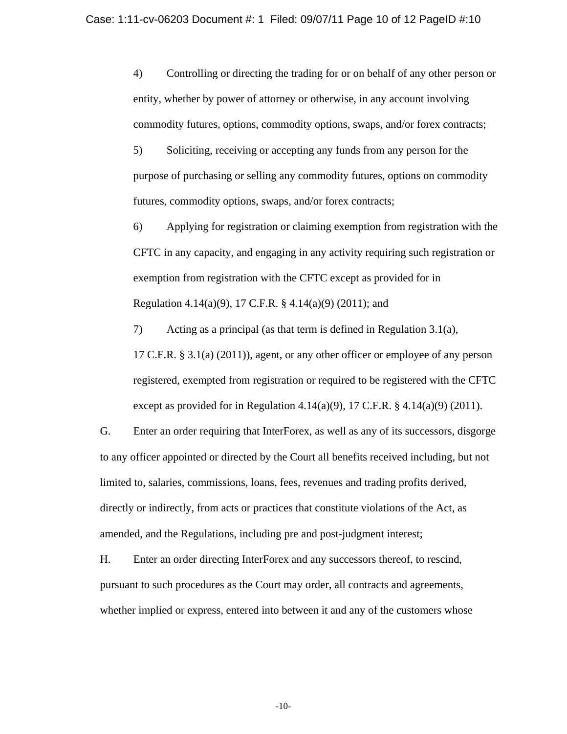4) Controlling or directing the trading for or on behalf of any other person or entity, whether by power of attorney or otherwise, in any account involving commodity futures, options, commodity options, swaps, and/or forex contracts;

5) Soliciting, receiving or accepting any funds from any person for the purpose of purchasing or selling any commodity futures, options on commodity futures, commodity options, swaps, and/or forex contracts;

6) Applying for registration or claiming exemption from registration with the CFTC in any capacity, and engaging in any activity requiring such registration or exemption from registration with the CFTC except as provided for in Regulation 4.14(a)(9), 17 C.F.R. § 4.14(a)(9) (2011); and

7) Acting as a principal (as that term is defined in Regulation 3.1(a), 17 C.F.R. § 3.1(a) (2011)), agent, or any other officer or employee of any person registered, exempted from registration or required to be registered with the CFTC except as provided for in Regulation 4.14(a)(9), 17 C.F.R.  $\S$  4.14(a)(9) (2011).

G. Enter an order requiring that InterForex, as well as any of its successors, disgorge to any officer appointed or directed by the Court all benefits received including, but not limited to, salaries, commissions, loans, fees, revenues and trading profits derived, directly or indirectly, from acts or practices that constitute violations of the Act, as amended, and the Regulations, including pre and post-judgment interest;

H. Enter an order directing InterForex and any successors thereof, to rescind, pursuant to such procedures as the Court may order, all contracts and agreements, whether implied or express, entered into between it and any of the customers whose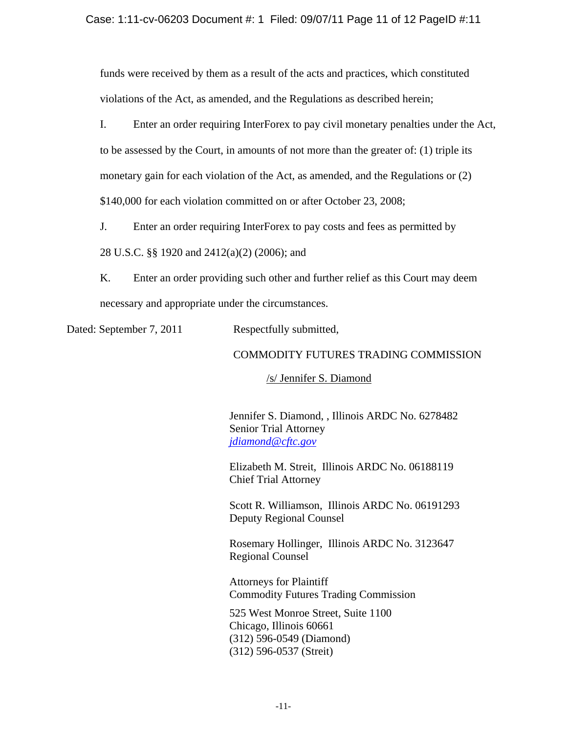funds were received by them as a result of the acts and practices, which constituted violations of the Act, as amended, and the Regulations as described herein;

I. Enter an order requiring InterForex to pay civil monetary penalties under the Act, to be assessed by the Court, in amounts of not more than the greater of: (1) triple its monetary gain for each violation of the Act, as amended, and the Regulations or (2) \$140,000 for each violation committed on or after October 23, 2008;

J. Enter an order requiring InterForex to pay costs and fees as permitted by

28 U.S.C. §§ 1920 and 2412(a)(2) (2006); and

K. Enter an order providing such other and further relief as this Court may deem necessary and appropriate under the circumstances.

Dated: September 7, 2011 Respectfully submitted,

# COMMODITY FUTURES TRADING COMMISSION

/s/ Jennifer S. Diamond

Jennifer S. Diamond, , Illinois ARDC No. 6278482 Senior Trial Attorney *jdiamond@cftc.gov*

Elizabeth M. Streit, Illinois ARDC No. 06188119 Chief Trial Attorney

Scott R. Williamson, Illinois ARDC No. 06191293 Deputy Regional Counsel

Rosemary Hollinger, Illinois ARDC No. 3123647 Regional Counsel

Attorneys for Plaintiff Commodity Futures Trading Commission

525 West Monroe Street, Suite 1100 Chicago, Illinois 60661 (312) 596-0549 (Diamond) (312) 596-0537 (Streit)